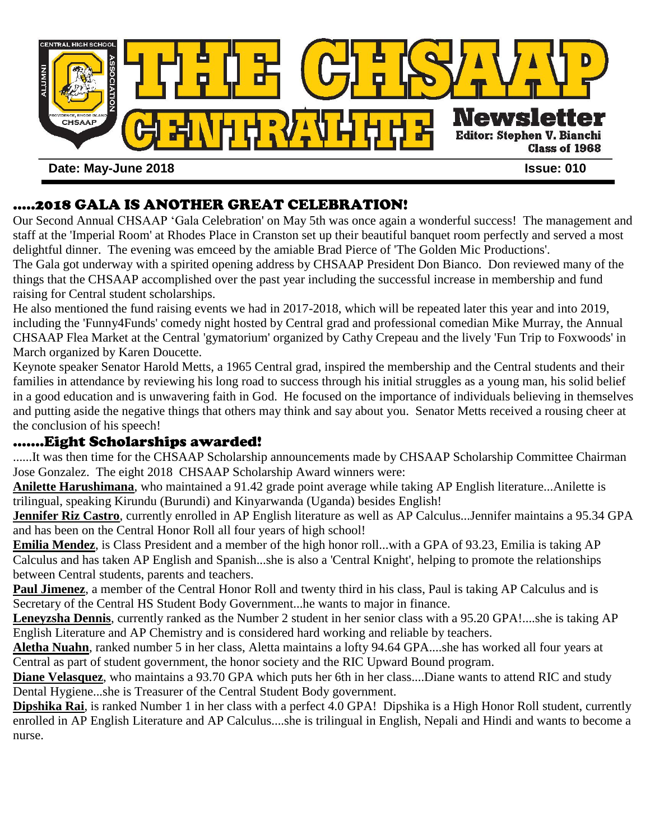

# .....2018 GALA IS ANOTHER GREAT CELEBRATION!

Our Second Annual CHSAAP 'Gala Celebration' on May 5th was once again a wonderful success! The management and staff at the 'Imperial Room' at Rhodes Place in Cranston set up their beautiful banquet room perfectly and served a most delightful dinner. The evening was emceed by the amiable Brad Pierce of 'The Golden Mic Productions'.

The Gala got underway with a spirited opening address by CHSAAP President Don Bianco. Don reviewed many of the things that the CHSAAP accomplished over the past year including the successful increase in membership and fund raising for Central student scholarships.

He also mentioned the fund raising events we had in 2017-2018, which will be repeated later this year and into 2019, including the 'Funny4Funds' comedy night hosted by Central grad and professional comedian Mike Murray, the Annual CHSAAP Flea Market at the Central 'gymatorium' organized by Cathy Crepeau and the lively 'Fun Trip to Foxwoods' in March organized by Karen Doucette.

Keynote speaker Senator Harold Metts, a 1965 Central grad, inspired the membership and the Central students and their families in attendance by reviewing his long road to success through his initial struggles as a young man, his solid belief in a good education and is unwavering faith in God. He focused on the importance of individuals believing in themselves and putting aside the negative things that others may think and say about you. Senator Metts received a rousing cheer at the conclusion of his speech!

#### …….Eight Scholarships awarded!

......It was then time for the CHSAAP Scholarship announcements made by CHSAAP Scholarship Committee Chairman Jose Gonzalez. The eight 2018 CHSAAP Scholarship Award winners were:

**Anilette Harushimana**, who maintained a 91.42 grade point average while taking AP English literature...Anilette is trilingual, speaking Kirundu (Burundi) and Kinyarwanda (Uganda) besides English!

**Jennifer Riz Castro**, currently enrolled in AP English literature as well as AP Calculus...Jennifer maintains a 95.34 GPA and has been on the Central Honor Roll all four years of high school!

**Emilia Mendez**, is Class President and a member of the high honor roll...with a GPA of 93.23, Emilia is taking AP Calculus and has taken AP English and Spanish...she is also a 'Central Knight', helping to promote the relationships between Central students, parents and teachers.

**Paul Jimenez**, a member of the Central Honor Roll and twenty third in his class, Paul is taking AP Calculus and is Secretary of the Central HS Student Body Government...he wants to major in finance.

**Leneyzsha Dennis**, currently ranked as the Number 2 student in her senior class with a 95.20 GPA!....she is taking AP English Literature and AP Chemistry and is considered hard working and reliable by teachers.

**Aletha Nuahn**, ranked number 5 in her class, Aletta maintains a lofty 94.64 GPA....she has worked all four years at Central as part of student government, the honor society and the RIC Upward Bound program.

**Diane Velasquez**, who maintains a 93.70 GPA which puts her 6th in her class....Diane wants to attend RIC and study Dental Hygiene...she is Treasurer of the Central Student Body government.

**Dipshika Rai**, is ranked Number 1 in her class with a perfect 4.0 GPA! Dipshika is a High Honor Roll student, currently enrolled in AP English Literature and AP Calculus....she is trilingual in English, Nepali and Hindi and wants to become a nurse.